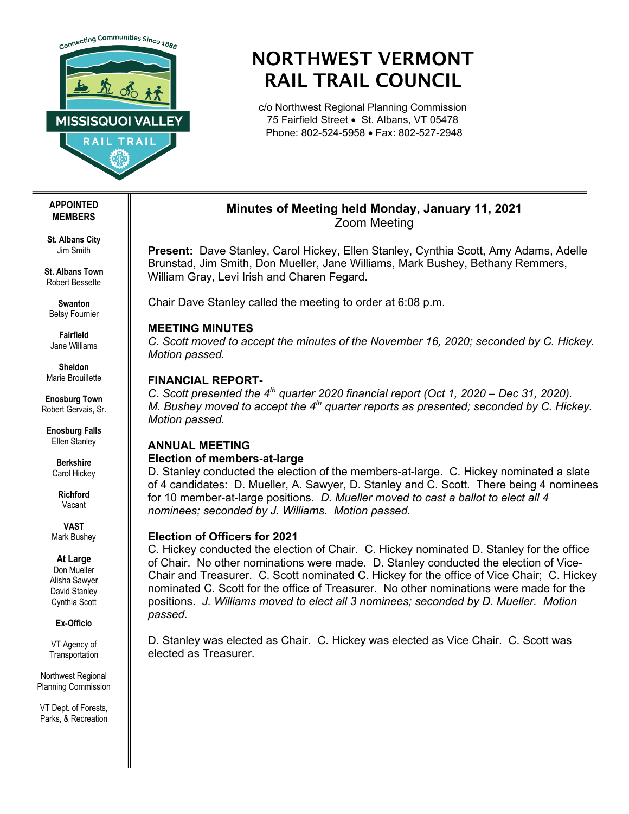

# NORTHWEST VERMONT RAIL TRAIL COUNCIL

c/o Northwest Regional Planning Commission 75 Fairfield Street • St. Albans, VT 05478 Phone: 802-524-5958 • Fax: 802-527-2948

## **Minutes of Meeting held Monday, January 11, 2021** Zoom Meeting

**Present:** Dave Stanley, Carol Hickey, Ellen Stanley, Cynthia Scott, Amy Adams, Adelle Brunstad, Jim Smith, Don Mueller, Jane Williams, Mark Bushey, Bethany Remmers, William Gray, Levi Irish and Charen Fegard.

Chair Dave Stanley called the meeting to order at 6:08 p.m.

## **MEETING MINUTES**

*C. Scott moved to accept the minutes of the November 16, 2020; seconded by C. Hickey. Motion passed.* 

# **FINANCIAL REPORT-**

*C. Scott presented the 4th quarter 2020 financial report (Oct 1, 2020 – Dec 31, 2020). M. Bushey moved to accept the 4<sup>th</sup> quarter reports as presented; seconded by C. Hickey. Motion passed.*

# **ANNUAL MEETING**

## **Election of members-at-large**

D. Stanley conducted the election of the members-at-large. C. Hickey nominated a slate of 4 candidates: D. Mueller, A. Sawyer, D. Stanley and C. Scott. There being 4 nominees for 10 member-at-large positions. *D. Mueller moved to cast a ballot to elect all 4 nominees; seconded by J. Williams. Motion passed.*

## **Election of Officers for 2021**

C. Hickey conducted the election of Chair. C. Hickey nominated D. Stanley for the office of Chair. No other nominations were made. D. Stanley conducted the election of Vice-Chair and Treasurer. C. Scott nominated C. Hickey for the office of Vice Chair; C. Hickey nominated C. Scott for the office of Treasurer. No other nominations were made for the positions. *J. Williams moved to elect all 3 nominees; seconded by D. Mueller. Motion passed.* 

D. Stanley was elected as Chair. C. Hickey was elected as Vice Chair. C. Scott was elected as Treasurer.

#### **APPOINTED MEMBERS**

**St. Albans City** Jim Smith

**St. Albans Town** Robert Bessette

**Swanton** Betsy Fournier

**Fairfield** Jane Williams

**Sheldon** Marie Brouillette

**Enosburg Town** Robert Gervais, Sr.

**Enosburg Falls** Ellen Stanley

**Berkshire** Carol Hickey

**Richford** Vacant

**VAST** Mark Bushey

## **At Large**

Don Mueller Alisha Sawyer David Stanley Cynthia Scott

**Ex-Officio**

VT Agency of **Transportation** 

Northwest Regional Planning Commission

VT Dept. of Forests, Parks, & Recreation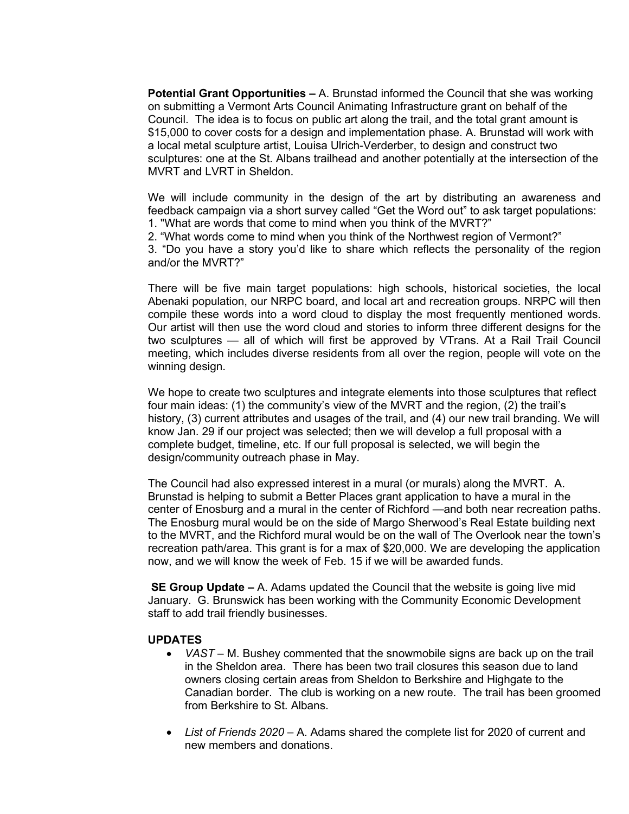**Potential Grant Opportunities –** A. Brunstad informed the Council that she was working on submitting a Vermont Arts Council Animating Infrastructure grant on behalf of the Council. The idea is to focus on public art along the trail, and the total grant amount is \$15,000 to cover costs for a design and implementation phase. A. Brunstad will work with a local metal sculpture artist, Louisa Ulrich-Verderber, to design and construct two sculptures: one at the St. Albans trailhead and another potentially at the intersection of the MVRT and LVRT in Sheldon.

We will include community in the design of the art by distributing an awareness and feedback campaign via a short survey called "Get the Word out" to ask target populations: 1. "What are words that come to mind when you think of the MVRT?"

2. "What words come to mind when you think of the Northwest region of Vermont?"

3. "Do you have a story you'd like to share which reflects the personality of the region and/or the MVRT?"

There will be five main target populations: high schools, historical societies, the local Abenaki population, our NRPC board, and local art and recreation groups. NRPC will then compile these words into a word cloud to display the most frequently mentioned words. Our artist will then use the word cloud and stories to inform three different designs for the two sculptures — all of which will first be approved by VTrans. At a Rail Trail Council meeting, which includes diverse residents from all over the region, people will vote on the winning design.

We hope to create two sculptures and integrate elements into those sculptures that reflect four main ideas: (1) the community's view of the MVRT and the region, (2) the trail's history, (3) current attributes and usages of the trail, and (4) our new trail branding. We will know Jan. 29 if our project was selected; then we will develop a full proposal with a complete budget, timeline, etc. If our full proposal is selected, we will begin the design/community outreach phase in May.

The Council had also expressed interest in a mural (or murals) along the MVRT. A. Brunstad is helping to submit a Better Places grant application to have a mural in the center of Enosburg and a mural in the center of Richford —and both near recreation paths. The Enosburg mural would be on the side of Margo Sherwood's Real Estate building next to the MVRT, and the Richford mural would be on the wall of The Overlook near the town's recreation path/area. This grant is for a max of \$20,000. We are developing the application now, and we will know the week of Feb. 15 if we will be awarded funds.

**SE Group Update –** A. Adams updated the Council that the website is going live mid January. G. Brunswick has been working with the Community Economic Development staff to add trail friendly businesses.

#### **UPDATES**

- *VAST –* M. Bushey commented that the snowmobile signs are back up on the trail in the Sheldon area. There has been two trail closures this season due to land owners closing certain areas from Sheldon to Berkshire and Highgate to the Canadian border. The club is working on a new route. The trail has been groomed from Berkshire to St. Albans.
- *List of Friends 2020 –* A. Adams shared the complete list for 2020 of current and new members and donations.